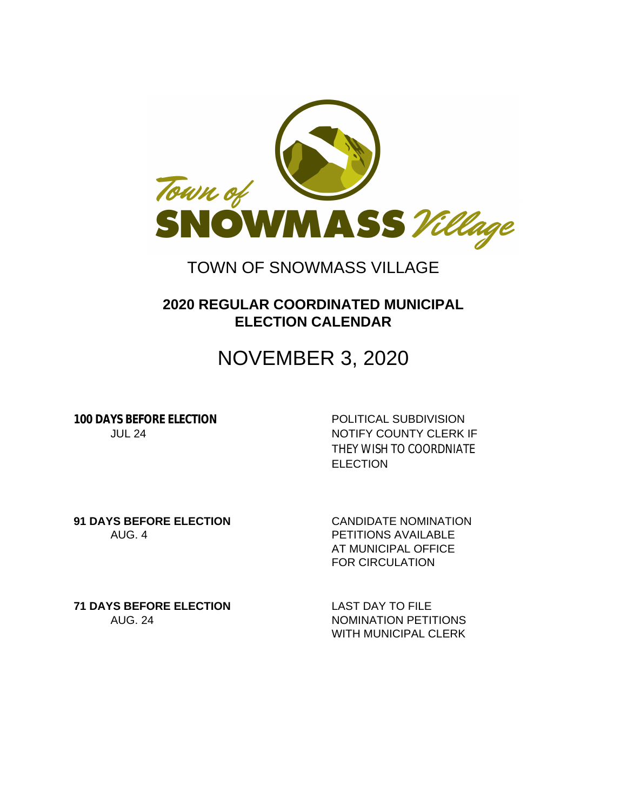

### TOWN OF SNOWMASS VILLAGE

### **2020 REGULAR COORDINATED MUNICIPAL ELECTION CALENDAR**

# NOVEMBER 3, 2020

**100 DAYS BEFORE ELECTION** POLITICAL SUBDIVISION

JUL 24 NOTIFY COUNTY CLERK IF THEY WISH TO COORDNIATE **ELECTION** 

**91 DAYS BEFORE ELECTION** CANDIDATE NOMINATION AUG. 4 PETITIONS AVAILABLE

AT MUNICIPAL OFFICE FOR CIRCULATION

**71 DAYS BEFORE ELECTION** LAST DAY TO FILE

AUG. 24 NOMINATION PETITIONS WITH MUNICIPAL CLERK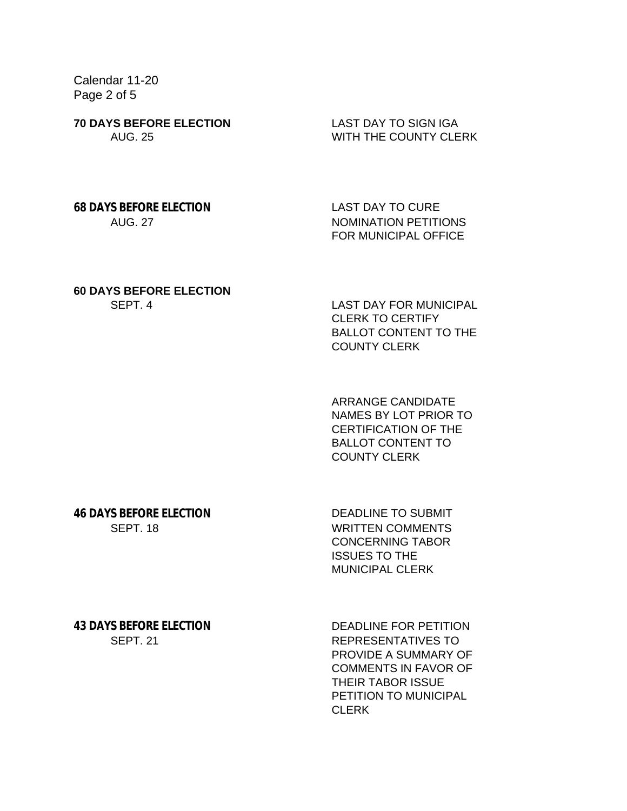Calendar 11-20 Page 2 of 5

**70 DAYS BEFORE ELECTION** LAST DAY TO SIGN IGA

AUG. 25 WITH THE COUNTY CLERK

**68 DAYS BEFORE ELECTION** LAST DAY TO CURE

AUG. 27 NOMINATION PETITIONS FOR MUNICIPAL OFFICE

## **60 DAYS BEFORE ELECTION**

SEPT. 4 LAST DAY FOR MUNICIPAL CLERK TO CERTIFY BALLOT CONTENT TO THE COUNTY CLERK

> ARRANGE CANDIDATE NAMES BY LOT PRIOR TO CERTIFICATION OF THE BALLOT CONTENT TO COUNTY CLERK

**46 DAYS BEFORE ELECTION** DEADLINE TO SUBMIT

SEPT. 18 WRITTEN COMMENTS CONCERNING TABOR ISSUES TO THE MUNICIPAL CLERK

**43 DAYS BEFORE ELECTION** DEADLINE FOR PETITION

SEPT. 21 REPRESENTATIVES TO PROVIDE A SUMMARY OF COMMENTS IN FAVOR OF THEIR TABOR ISSUE PETITION TO MUNICIPAL CLERK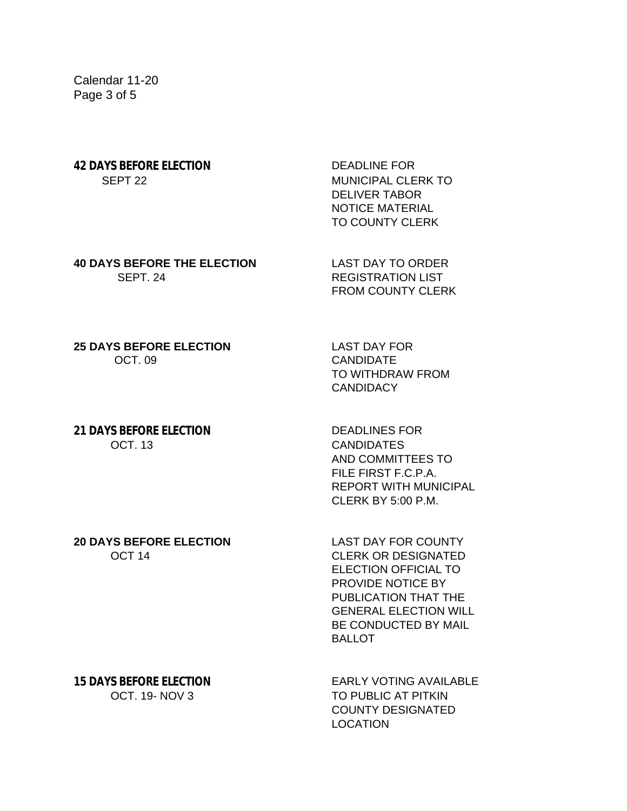Calendar 11-20 Page 3 of 5

# **42 DAYS BEFORE ELECTION** DEADLINE FOR

SEPT 22 MUNICIPAL CLERK TO DELIVER TABOR NOTICE MATERIAL TO COUNTY CLERK

**40 DAYS BEFORE THE ELECTION** LAST DAY TO ORDER **SEPT. 24 REGISTRATION LIST** 

FROM COUNTY CLERK

**25 DAYS BEFORE ELECTION** LAST DAY FOR OCT. 09 CANDIDATE

TO WITHDRAW FROM **CANDIDACY** 

#### **21 DAYS BEFORE ELECTION** DEADLINES FOR OCT. 13 CANDIDATES

AND COMMITTEES TO FILE FIRST F.C.P.A. REPORT WITH MUNICIPAL CLERK BY 5:00 P.M.

**20 DAYS BEFORE ELECTION** LAST DAY FOR COUNTY

OCT 14 CLERK OR DESIGNATED ELECTION OFFICIAL TO PROVIDE NOTICE BY PUBLICATION THAT THE GENERAL ELECTION WILL BE CONDUCTED BY MAIL BALLOT

**15 DAYS BEFORE ELECTION** EARLY VOTING AVAILABLE OCT. 19- NOV 3 TO PUBLIC AT PITKIN COUNTY DESIGNATED **LOCATION**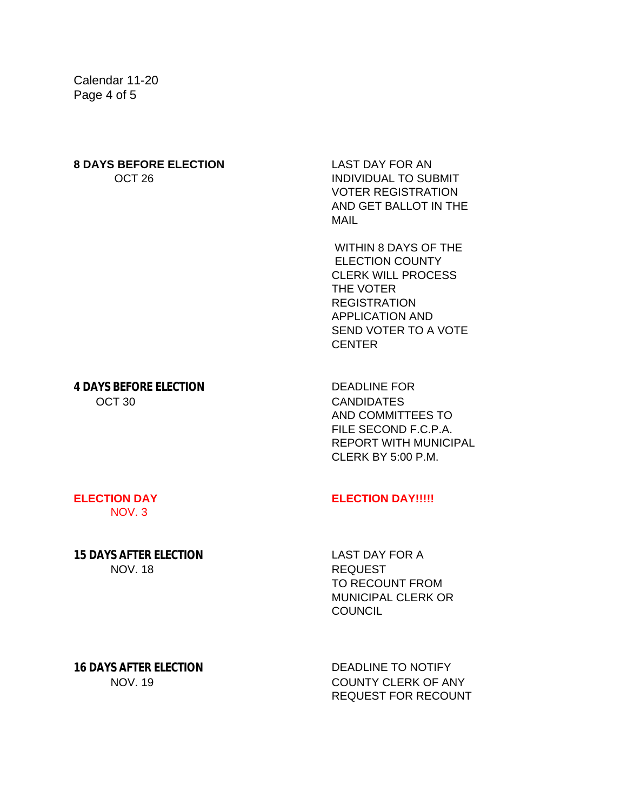Calendar 11-20 Page 4 of 5

## **8 DAYS BEFORE ELECTION** LAST DAY FOR AN

**OCT 26 INDIVIDUAL TO SUBMIT** VOTER REGISTRATION AND GET BALLOT IN THE MAIL

> WITHIN 8 DAYS OF THE ELECTION COUNTY CLERK WILL PROCESS THE VOTER REGISTRATION APPLICATION AND SEND VOTER TO A VOTE **CENTER**

**4 DAYS BEFORE ELECTION** DEADLINE FOR OCT 30 CANDIDATES

AND COMMITTEES TO FILE SECOND F.C.P.A. REPORT WITH MUNICIPAL CLERK BY 5:00 P.M.

NOV. 3

### **15 DAYS AFTER ELECTION** LAST DAY FOR A NOV. 18 REQUEST

#### **ELECTION DAY ELECTION DAY!!!!!**

TO RECOUNT FROM MUNICIPAL CLERK OR **COUNCIL** 

**16 DAYS AFTER ELECTION** DEADLINE TO NOTIFY

NOV. 19 COUNTY CLERK OF ANY REQUEST FOR RECOUNT